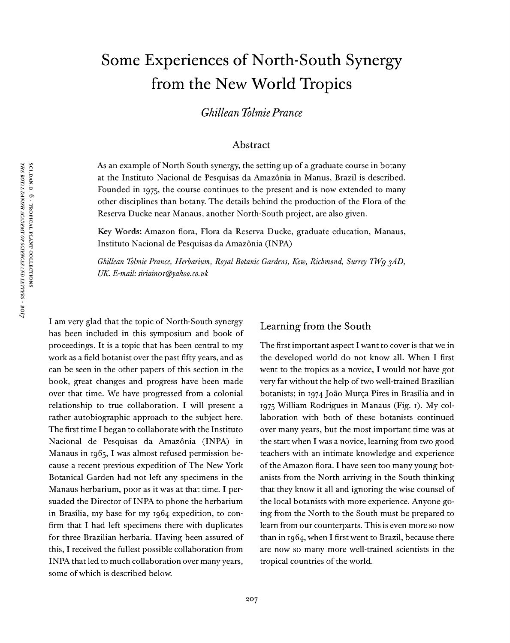# Some Experiences of North-South Synergy from the New World Tropics

*Ghillean TolmiePrance*

## Abstract

As an example of North South synergy, the setting up of a graduate course in botany at the Instituto Nacional de Pesquisas da Amazonia in Manus, Brazil is described. Founded in 1975, the course continues to the present and is now extended to many other disciplines than botany. The details behind the production of the Flora of the Reserva Ducke near Manaus, another North-South project, are also given.

Key Words: Amazon flora, Flora da Reserva Ducke, graduate education, Manaus, Instituto Nacional de Pesquisas da Amazônia (INPA)

*Ghillean Tolmie Prance, Herbarium, Royal Botanic Gardens, Keo, Richmond, Surrey TlVg 3AD, UK. E-mail:siriainoi@yahoo.co.uk*

I am very glad that the topic of North-South synergy has been included in this symposium and book of proceedings. It is a topic that has been central to my work as a field botanist over the past fifty years, and as can be seen in the other papers of this section in the book, great changes and progress have been made over that time. We have progressed from a colonial relationship to true collaboration. I will present a rather autobiographic approach to the subject here. The first time I began to collaborate with the Instituto Nacional de Pesquisas da Amazônia (INPA) in Manaus in  $1965$ , I was almost refused permission because a recent previous expedition of The New York Botanical Garden had not left any specimens in the Manaus herbarium, poor as it was at that time. I persuaded the Director of INPA to phone the herbarium in Brasilia, my base for my 1964 expedition, to confirm that I had left specimens there with duplicates for three Brazilian herbaria. Having been assured of this, I received the fullest possible collaboration from INPA that led to much collaboration over many years, some of which is described below.

#### Learning from the South

The first important aspect I want to cover is that we in the developed world do not know all. When I first went to the tropics as a novice, I would not have got very far without the help of two well-trained Brazilian botanists; in 1974 Joào Murça Pires in Brasilia and in 1975 William Rodrigues in Manaus (Fig. 1). My collaboration with both of these botanists continued over many years, but the most important time was at the start when I was a novice, learning from two good teachers with an intimate knowledge and experience of the Amazon flora. I have seen too many young botanists from the North arriving in the South thinking that they know it all and ignoring the wise counsel of the local botanists with more experience. Anyone going from the North to the South must be prepared to learn from our counterparts. This is even more so now than in 1964, when I first went to Brazil, because there are now so many more well-trained scientists in the tropical countries of the world.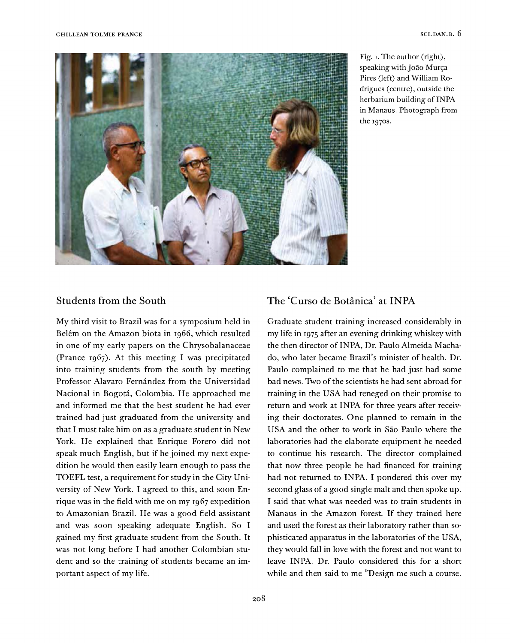

Fig. i. The author (right), speaking with Joâo Murça Pires (left) and William Rodrigues (centre), outside the herbarium building of INPA in Manaus. Photograph from the 1970S.

## Students from the South

My third visit to Brazil was for a symposium held in Belém on the Amazon biota in 1966, which resulted in one of my early papers on the Chrysobalanaceae (Prance 1967). At this meeting I was precipitated into training students from the south by meeting Professor Alavaro Fernández from the Universidad Nacional in Bogota, Colombia. He approached me and informed me that the best student he had ever trained had just graduated from the university and that I must take him on as a graduate student in New York. He explained that Enrique Forero did not speak much English, but if he joined my next expedition he would then easily learn enough to pass the TOEFL test, a requirement for study in the City University of New York. I agreed to this, and soon Enrique was in the field with me on my 1967 expedition to Amazonian Brazil. He was a good field assistant and was soon speaking adequate English. So I gained my first graduate student from the South. It was not long before I had another Colombian student and so the training of students became an important aspect of my life.

# The 'Curso de Botânica' at INPA

Graduate student training increased considerably in my life in 1975 after an evening drinking whiskey with the then director of INPA, Dr. Paulo Almeida Machado, who later became Brazil's minister of health. Dr. Paulo complained to me that he had just had some bad news. Two of the scientists he had sent abroad for training in the USA had reneged on their promise to return and work at INPA for three years after receiving their doctorates. One planned to remain in the USA and the other to work in Sào Paulo where the laboratories had the elaborate equipment he needed to continue his research. The director complained that now three people he had financed for training had not returned to INPA. I pondered this over my second glass of a good single malt and then spoke up. I said that what was needed was to train students in Manaus in the Amazon forest. If they trained here and used the forest as their laboratory rather than sophisticated apparatus in the laboratories of the USA, they would fall in love with the forest and not want to leave INPA. Dr. Paulo considered this for a short while and then said to me ''Design me such a course.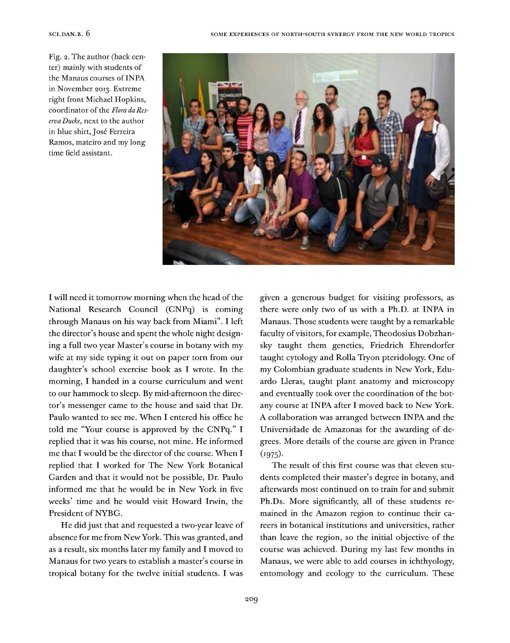Fig. 2. The author (back center) mainly with students of the Manaus courses of INPA in November 2013. Extreme right front Michael Hopkins, coordinator of the *Flora da ReservaDucke,* next to the author in blue shirt, José Ferreira Ramos, mateiro and my long time field assistant.



I will need it tomorrow morning when the head of the National Research Council (CNPq) is coming through Manaus on his way back from Miami". I left the director's house and spent the whole night designing a full two year Master's course in botany with my wife at my side typing it out on paper torn from our daughter's school exercise book as I wrote. In the morning, I handed in a course curriculum and went to our hammock to sleep. By mid-afternoon the director's messenger came to the house and said that Dr. Paulo wanted to see me. When I entered his office he told me "Your course is approved by the CNPq." I replied that it was his course, not mine. He informed me that I would be the director of the course. When I replied that I worked for The New York Botanical Garden and that it would not be possible, Dr. Paulo informed me that he would be in New York in five weeks' time and he would visit Howard Irwin, the President of NYBG.

He did just that and requested a two-year leave of absence for me from NewYork. This was granted, and as a result, six months later my family and I moved to Manaus for two years to establish a master's course in tropical botany for the twelve initial students. I was

given a generous budget for visiting professors, as there were only two of us with a Ph.D. at INPA in Manaus. Those students were taught by a remarkable faculty of visitors, for example, Theodosius Dobzhansky taught them genetics, Friedrich Ehrendorfer taught cytology and Rolla Tryon pteridology. One of my Colombian graduate students in New York, Eduardo Lieras, taught plant anatomy and microscopy and eventually took over the coordination of the botany course at INPA after I moved back to New York. A collaboration was arranged between INPA and the Universidade de Amazonas for the awarding of degrees. More details of the course are given in Prance  $(1975).$ 

The result of this first course was that eleven students completed their master's degree in botany, and afterwards most continued on to train for and submit Ph.Ds. More significantly, all of these students remained in the Amazon region to continue their careers in botanical institutions and universities, rather than leave the region, so the initial objective of the course was achieved. During my last few months in Manaus, we were able to add courses in ichthyology, entomology and ecology to the curriculum. These